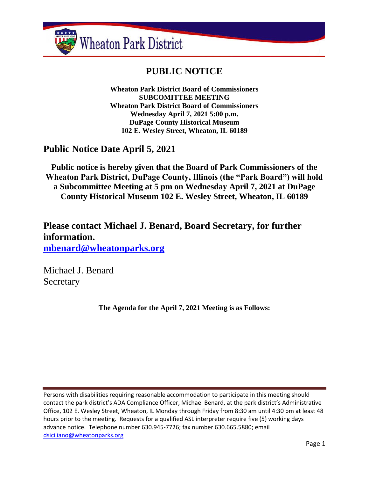

# **PUBLIC NOTICE**

**Wheaton Park District Board of Commissioners SUBCOMITTEE MEETING Wheaton Park District Board of Commissioners Wednesday April 7, 2021 5:00 p.m. DuPage County Historical Museum 102 E. Wesley Street, Wheaton, IL 60189**

# **Public Notice Date April 5, 2021**

**Public notice is hereby given that the Board of Park Commissioners of the Wheaton Park District, DuPage County, Illinois (the "Park Board") will hold a Subcommittee Meeting at 5 pm on Wednesday April 7, 2021 at DuPage County Historical Museum 102 E. Wesley Street, Wheaton, IL 60189**

**Please contact Michael J. Benard, Board Secretary, for further information. [mbenard@wheatonparks.org](mailto:mbenard@wheatonparks.org)**

Michael J. Benard **Secretary** 

**The Agenda for the April 7, 2021 Meeting is as Follows:**

Persons with disabilities requiring reasonable accommodation to participate in this meeting should contact the park district's ADA Compliance Officer, Michael Benard, at the park district's Administrative Office, 102 E. Wesley Street, Wheaton, IL Monday through Friday from 8:30 am until 4:30 pm at least 48 hours prior to the meeting. Requests for a qualified ASL interpreter require five (5) working days advance notice. Telephone number 630.945-7726; fax number 630.665.5880; email [dsiciliano@wheatonparks.org](mailto:dsiciliano@wheatonparks.org)